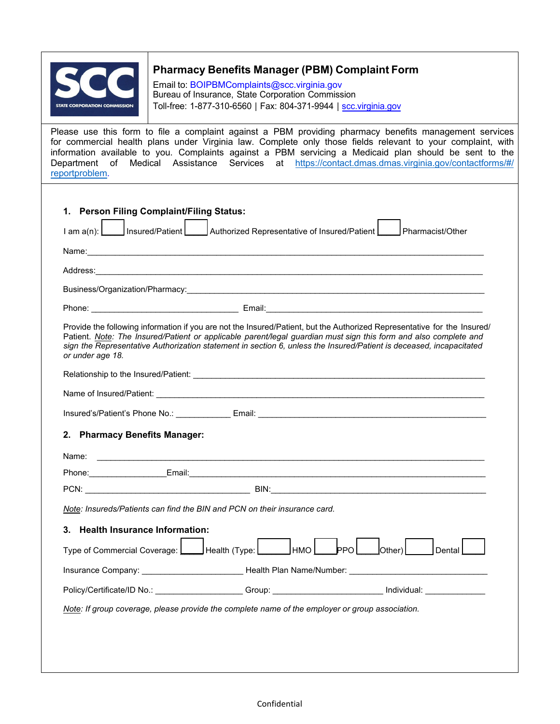| <b>STATE CORPORATION COMMISSION</b> |
|-------------------------------------|

# **Pharmacy Benefits Manager (PBM) Complaint Form**

Email to: [BOIPBMComplaints](mailto:bureauofinsurance@scc.virginia.gov)@scc.virginia.gov Bureau of Insurance, State Corporation Commission Toll-free: 1-877-310-6560 | Fax: 804-371-9944 [| scc.virginia.gov](http://www.scc.virginia.gov/)

Please use this form to file a complaint against a PBM providing pharmacy benefits management services for commercial health plans under Virginia law. Complete only those fields relevant to your complaint, with information available to you. Complaints against a PBM servicing a Medicaid plan should be sent to the Department of Medical Assistance Services at [https://contact.dmas.dmas.virginia.gov/contactforms/#/](https://contact.dmas.dmas.virginia.gov/contactforms/#/reportproblem) reportproblem.

|                                                                                                                                                                                                                                                                                                                                                                                                                                                                                                                                                                                                                                                                                                                                                                      | I am a(n): Insured/Patient Authorized Representative of Insured/Patient Pharmacist/Other |  |
|----------------------------------------------------------------------------------------------------------------------------------------------------------------------------------------------------------------------------------------------------------------------------------------------------------------------------------------------------------------------------------------------------------------------------------------------------------------------------------------------------------------------------------------------------------------------------------------------------------------------------------------------------------------------------------------------------------------------------------------------------------------------|------------------------------------------------------------------------------------------|--|
|                                                                                                                                                                                                                                                                                                                                                                                                                                                                                                                                                                                                                                                                                                                                                                      |                                                                                          |  |
|                                                                                                                                                                                                                                                                                                                                                                                                                                                                                                                                                                                                                                                                                                                                                                      |                                                                                          |  |
|                                                                                                                                                                                                                                                                                                                                                                                                                                                                                                                                                                                                                                                                                                                                                                      |                                                                                          |  |
| Provide the following information if you are not the Insured/Patient, but the Authorized Representative for the Insured/<br>Patient. Note: The Insured/Patient or applicable parent/legal guardian must sign this form and also complete and<br>sign the Representative Authorization statement in section 6, unless the Insured/Patient is deceased, incapacitated<br>or under age 18.<br>Name of Insured/Patient: Website the contract of the contract of the contract of the contract of the contract of the contract of the contract of the contract of the contract of the contract of the contract of the contract                                                                                                                                             |                                                                                          |  |
|                                                                                                                                                                                                                                                                                                                                                                                                                                                                                                                                                                                                                                                                                                                                                                      |                                                                                          |  |
|                                                                                                                                                                                                                                                                                                                                                                                                                                                                                                                                                                                                                                                                                                                                                                      |                                                                                          |  |
| Insured's/Patient's Phone No.: ___________Email: ________________________________<br>2. Pharmacy Benefits Manager:<br>Phone: Email: Email: Email: Email: Email: Email: Email: Email: Email: Email: Email: Email: Email: Email: Email: Email: Email: Email: Email: Email: Email: Email: Email: Email: Email: Email: Email: Email: Email: Email: Email<br>PCN: BIN: BIN: BIN: PCN: PCN: POSTER POSTER POSTER POSTER POSTER POSTER POSTER POSTER POSTER POSTER POSTER POSTER. POSTER POSTER POSTER POSTER POSTER POSTER POSTER POSTER POSTER POSTER POSTER POSTER POSTER POSTER POSTER PO<br>Note: Insureds/Patients can find the BIN and PCN on their insurance card.<br>3. Health Insurance Information:<br>Insurance Company: Nealth Plan Name/Number: Name Company: |                                                                                          |  |
|                                                                                                                                                                                                                                                                                                                                                                                                                                                                                                                                                                                                                                                                                                                                                                      |                                                                                          |  |
|                                                                                                                                                                                                                                                                                                                                                                                                                                                                                                                                                                                                                                                                                                                                                                      |                                                                                          |  |
|                                                                                                                                                                                                                                                                                                                                                                                                                                                                                                                                                                                                                                                                                                                                                                      |                                                                                          |  |
|                                                                                                                                                                                                                                                                                                                                                                                                                                                                                                                                                                                                                                                                                                                                                                      |                                                                                          |  |
|                                                                                                                                                                                                                                                                                                                                                                                                                                                                                                                                                                                                                                                                                                                                                                      |                                                                                          |  |
|                                                                                                                                                                                                                                                                                                                                                                                                                                                                                                                                                                                                                                                                                                                                                                      |                                                                                          |  |
|                                                                                                                                                                                                                                                                                                                                                                                                                                                                                                                                                                                                                                                                                                                                                                      |                                                                                          |  |
|                                                                                                                                                                                                                                                                                                                                                                                                                                                                                                                                                                                                                                                                                                                                                                      |                                                                                          |  |
|                                                                                                                                                                                                                                                                                                                                                                                                                                                                                                                                                                                                                                                                                                                                                                      | $ $ Dental $ $                                                                           |  |
| Policy/Certificate/ID No.: ___________________Group: ___________________________ Individual: _____________                                                                                                                                                                                                                                                                                                                                                                                                                                                                                                                                                                                                                                                           |                                                                                          |  |
| Note: If group coverage, please provide the complete name of the employer or group association.                                                                                                                                                                                                                                                                                                                                                                                                                                                                                                                                                                                                                                                                      |                                                                                          |  |